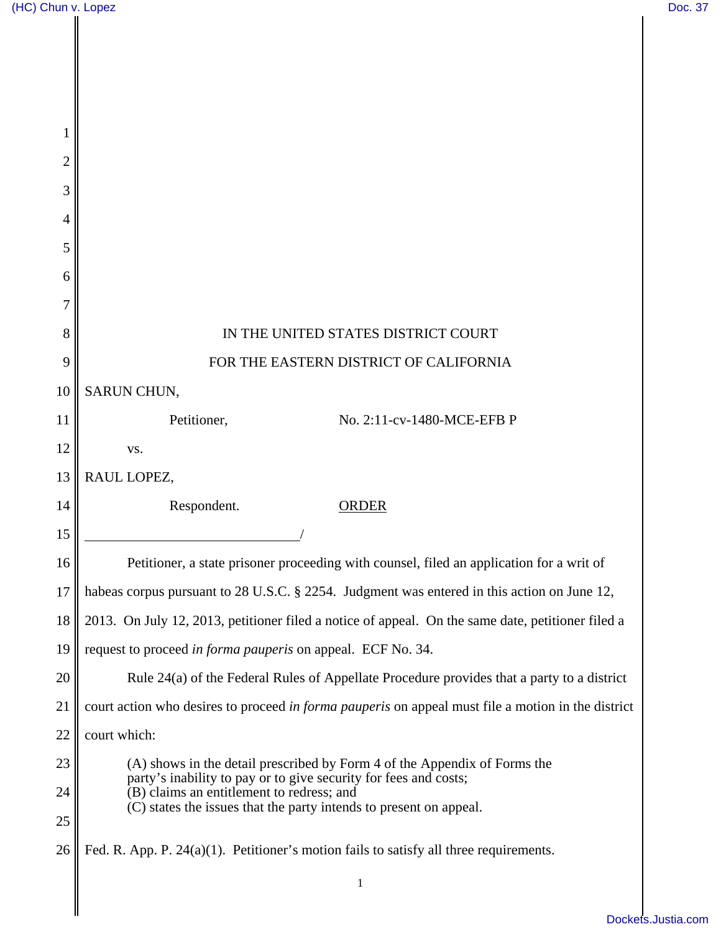$\parallel$ 

| $\overline{c}$ |                                                                                                                                               |
|----------------|-----------------------------------------------------------------------------------------------------------------------------------------------|
| 3              |                                                                                                                                               |
| 4              |                                                                                                                                               |
| 5              |                                                                                                                                               |
| 6              |                                                                                                                                               |
| 7              |                                                                                                                                               |
| 8              | IN THE UNITED STATES DISTRICT COURT                                                                                                           |
| 9              | FOR THE EASTERN DISTRICT OF CALIFORNIA                                                                                                        |
| 10             | SARUN CHUN,                                                                                                                                   |
| 11             | Petitioner,<br>No. 2:11-cv-1480-MCE-EFB P                                                                                                     |
| 12             | VS.                                                                                                                                           |
| 13             | RAUL LOPEZ,                                                                                                                                   |
| 14             | Respondent.<br><b>ORDER</b>                                                                                                                   |
| 15             |                                                                                                                                               |
| 16             | Petitioner, a state prisoner proceeding with counsel, filed an application for a writ of                                                      |
| 17             | habeas corpus pursuant to 28 U.S.C. § 2254. Judgment was entered in this action on June 12,                                                   |
| 18             | 2013. On July 12, 2013, petitioner filed a notice of appeal. On the same date, petitioner filed a                                             |
| 19             | request to proceed in forma pauperis on appeal. ECF No. 34.                                                                                   |
| 20             | Rule 24(a) of the Federal Rules of Appellate Procedure provides that a party to a district                                                    |
| 21             | court action who desires to proceed in forma pauperis on appeal must file a motion in the district                                            |
| 22             | court which:                                                                                                                                  |
| 23             | (A) shows in the detail prescribed by Form 4 of the Appendix of Forms the<br>party's inability to pay or to give security for fees and costs; |
| 24             | (B) claims an entitlement to redress; and<br>(C) states the issues that the party intends to present on appeal.                               |
| 25             |                                                                                                                                               |
| 26             | Fed. R. App. P. $24(a)(1)$ . Petitioner's motion fails to satisfy all three requirements.                                                     |
|                | $\mathbf{1}$                                                                                                                                  |